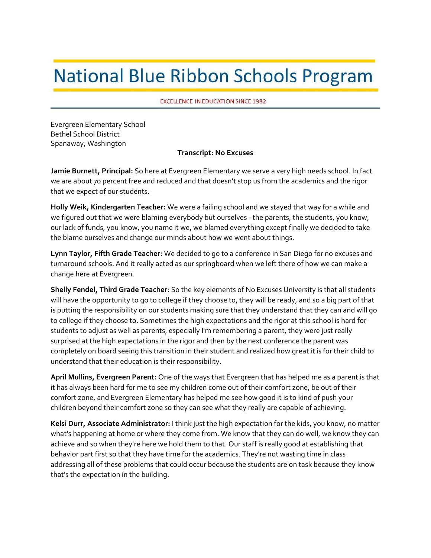## **National Blue Ribbon Schools Program**

**EXCELLENCE IN EDUCATION SINCE 1982** 

 Evergreen Elementary School Bethel School District Spanaway, Washington

## **Transcript: No Excuses**

 **Jamie Burnett, Principal:** So here at Evergreen Elementary we serve a very high needs school. In fact we are about 70 percent free and reduced and that doesn't stop us from the academics and the rigor that we expect of our students.

 **Holly Weik, Kindergarten Teacher:** We were a failing school and we stayed that way for a while and we figured out that we were blaming everybody but ourselves ‐ the parents, the students, you know, our lack of funds, you know, you name it we, we blamed everything except finally we decided to take the blame ourselves and change our minds about how we went about things.

 **Lynn Taylor, Fifth Grade Teacher:** We decided to go to a conference in San Diego for no excuses and turnaround schools. And it really acted as our springboard when we left there of how we can make a change here at Evergreen.

 **Shelly Fendel, Third Grade Teacher:** So the key elements of No Excuses University is that all students will have the opportunity to go to college if they choose to, they will be ready, and so a big part of that is putting the responsibility on our students making sure that they understand that they can and will go to college if they choose to. Sometimes the high expectations and the rigor at this school is hard for students to adjust as well as parents, especially I'm remembering a parent, they were just really surprised at the high expectations in the rigor and then by the next conference the parent was completely on board seeing this transition in their student and realized how great it is for their child to understand that their education is their responsibility.

 **April Mullins, Evergreen Parent:** One of the ways that Evergreen that has helped me as a parent is that it has always been hard for me to see my children come out of their comfort zone, be out of their comfort zone, and Evergreen Elementary has helped me see how good it is to kind of push your children beyond their comfort zone so they can see what they really are capable of achieving.

 **Kelsi Durr, Associate Administrator:** I think just the high expectation for the kids, you know, no matter what's happening at home or where they come from. We know that they can do well, we know they can achieve and so when they're here we hold them to that. Our staff is really good at establishing that behavior part first so that they have time for the academics. They're not wasting time in class addressing all of these problems that could occur because the students are on task because they know that's the expectation in the building.